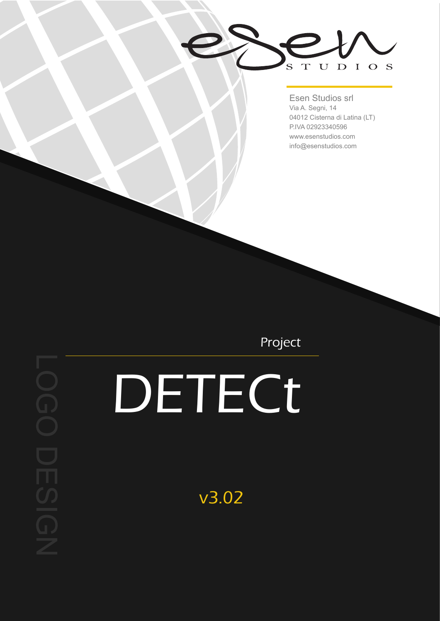UDIOS  $S^{\dagger}$  $T$ 

Esen Studios srl Via A. Segni, 14 04012 Cisterna di Latina (LT) P.IVA 02923340596 www.esenstudios.com info@esenstudios.com

Project

## **DETECt**

v3.02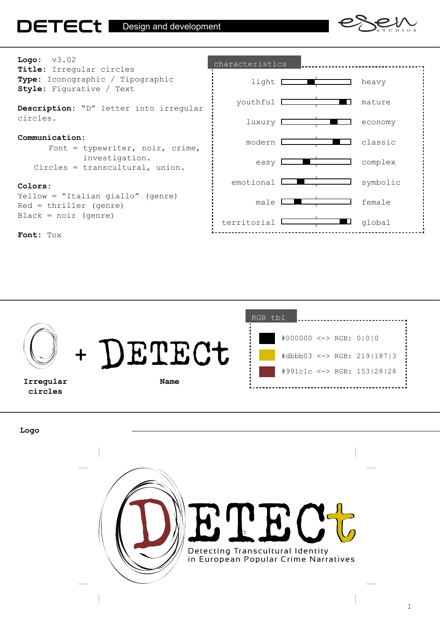





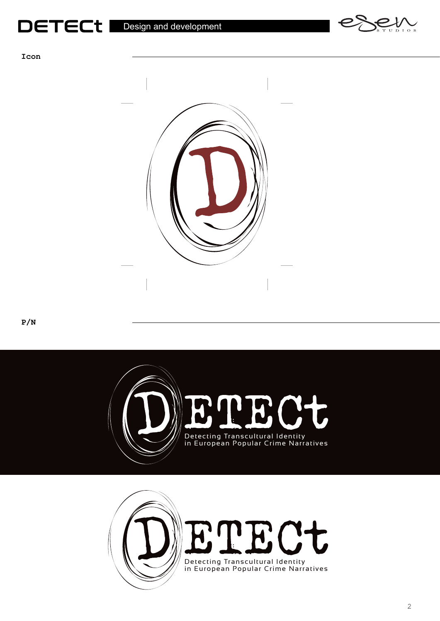



**Icon**



**P/N**